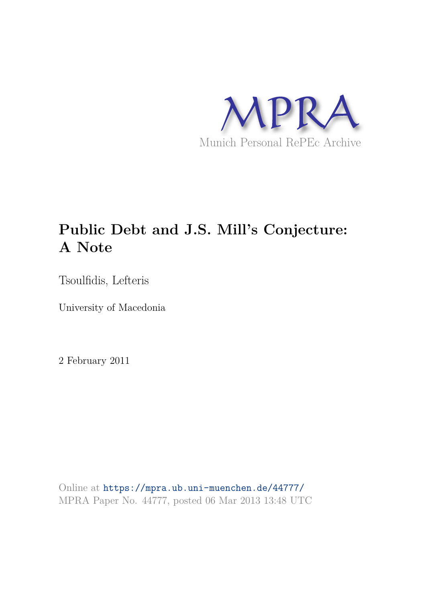

# **Public Debt and J.S. Mill's Conjecture: A Note**

Tsoulfidis, Lefteris

University of Macedonia

2 February 2011

Online at https://mpra.ub.uni-muenchen.de/44777/ MPRA Paper No. 44777, posted 06 Mar 2013 13:48 UTC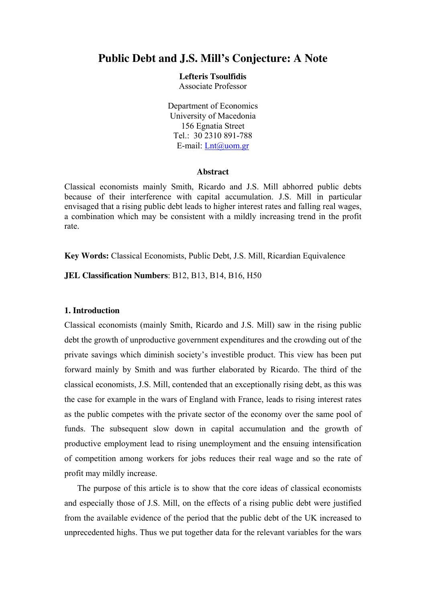# **Public Debt and J.S. Mill's Conjecture: A Note**

**Lefteris Tsoulfidis**

Associate Professor

Department of Economics University of Macedonia 156 Egnatia Street Tel.: 30 2310 891-788 E-mail: Lnt@uom.gr

### **Abstract**

Classical economists mainly Smith, Ricardo and J.S. Mill abhorred public debts because of their interference with capital accumulation. J.S. Mill in particular envisaged that a rising public debt leads to higher interest rates and falling real wages, a combination which may be consistent with a mildly increasing trend in the profit rate.

**Key Words:** Classical Εconomists, Public Debt, J.S. Mill, Ricardian Equivalence

**JEL Classification Numbers**: B12, B13, B14, B16, H50

# **1. Introduction**

Classical economists (mainly Smith, Ricardo and J.S. Mill) saw in the rising public debt the growth of unproductive government expenditures and the crowding out of the private savings which diminish society's investible product. This view has been put forward mainly by Smith and was further elaborated by Ricardo. The third of the classical economists, J.S. Mill, contended that an exceptionally rising debt, as this was the case for example in the wars of England with France, leads to rising interest rates as the public competes with the private sector of the economy over the same pool of funds. The subsequent slow down in capital accumulation and the growth of productive employment lead to rising unemployment and the ensuing intensification of competition among workers for jobs reduces their real wage and so the rate of profit may mildly increase.

The purpose of this article is to show that the core ideas of classical economists and especially those of J.S. Mill, on the effects of a rising public debt were justified from the available evidence of the period that the public debt of the UK increased to unprecedented highs. Thus we put together data for the relevant variables for the wars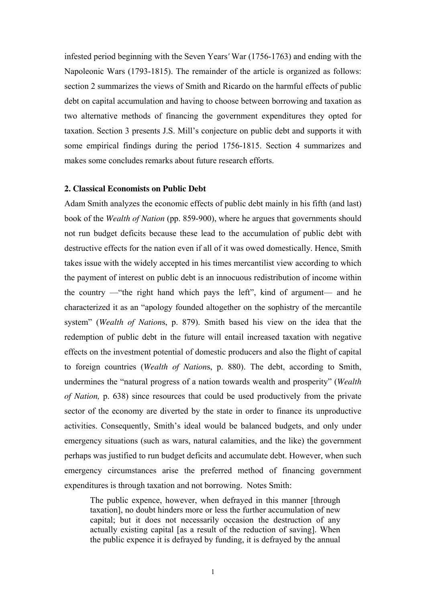infested period beginning with the Seven Years*'* War (1756-1763) and ending with the Napoleonic Wars (1793-1815). The remainder of the article is organized as follows: section 2 summarizes the views of Smith and Ricardo on the harmful effects of public debt on capital accumulation and having to choose between borrowing and taxation as two alternative methods of financing the government expenditures they opted for taxation. Section 3 presents J.S. Mill's conjecture on public debt and supports it with some empirical findings during the period 1756-1815. Section 4 summarizes and makes some concludes remarks about future research efforts.

#### **2. Classical Economists on Public Debt**

Adam Smith analyzes the economic effects of public debt mainly in his fifth (and last) book of the *Wealth of Nation* (pp. 859-900), where he argues that governments should not run budget deficits because these lead to the accumulation of public debt with destructive effects for the nation even if all of it was owed domestically. Hence, Smith takes issue with the widely accepted in his times mercantilist view according to which the payment of interest on public debt is an innocuous redistribution of income within the country —"the right hand which pays the left", kind of argument— and he characterized it as an "apology founded altogether on the sophistry of the mercantile system" (*Wealth of Nation*s, p. 879). Smith based his view on the idea that the redemption of public debt in the future will entail increased taxation with negative effects on the investment potential of domestic producers and also the flight of capital to foreign countries (*Wealth of Nation*s, p. 880). The debt, according to Smith, undermines the "natural progress of a nation towards wealth and prosperity" (*Wealth of Nation,* p. 638) since resources that could be used productively from the private sector of the economy are diverted by the state in order to finance its unproductive activities. Consequently, Smith's ideal would be balanced budgets, and only under emergency situations (such as wars, natural calamities, and the like) the government perhaps was justified to run budget deficits and accumulate debt. However, when such emergency circumstances arise the preferred method of financing government expenditures is through taxation and not borrowing. Notes Smith:

The public expence, however, when defrayed in this manner [through taxation], no doubt hinders more or less the further accumulation of new capital; but it does not necessarily occasion the destruction of any actually existing capital [as a result of the reduction of saving]. When the public expence it is defrayed by funding, it is defrayed by the annual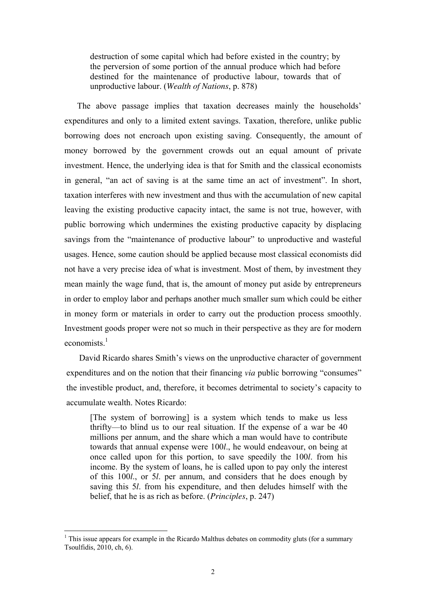destruction of some capital which had before existed in the country; by the perversion of some portion of the annual produce which had before destined for the maintenance of productive labour, towards that of unproductive labour. (*Wealth of Nations*, p. 878)

The above passage implies that taxation decreases mainly the households' expenditures and only to a limited extent savings. Taxation, therefore, unlike public borrowing does not encroach upon existing saving. Consequently, the amount of money borrowed by the government crowds out an equal amount of private investment. Hence, the underlying idea is that for Smith and the classical economists in general, "an act of saving is at the same time an act of investment". In short, taxation interferes with new investment and thus with the accumulation of new capital leaving the existing productive capacity intact, the same is not true, however, with public borrowing which undermines the existing productive capacity by displacing savings from the "maintenance of productive labour" to unproductive and wasteful usages. Hence, some caution should be applied because most classical economists did not have a very precise idea of what is investment. Most of them, by investment they mean mainly the wage fund, that is, the amount of money put aside by entrepreneurs in order to employ labor and perhaps another much smaller sum which could be either in money form or materials in order to carry out the production process smoothly. Investment goods proper were not so much in their perspective as they are for modern economists $1$ 

David Ricardo shares Smith's views on the unproductive character of government expenditures and on the notion that their financing *via* public borrowing "consumes" the investible product, and, therefore, it becomes detrimental to society's capacity to accumulate wealth. Notes Ricardo:

[The system of borrowing] is a system which tends to make us less thrifty—to blind us to our real situation. If the expense of a war be 40 millions per annum, and the share which a man would have to contribute towards that annual expense were 100*l*., he would endeavour, on being at once called upon for this portion, to save speedily the 100*l*. from his income. By the system of loans, he is called upon to pay only the interest of this 100*l*., or 5*l*. per annum, and considers that he does enough by saving this 5*l*. from his expenditure, and then deludes himself with the belief, that he is as rich as before. (*Principles*, p. 247)

-

<sup>&</sup>lt;sup>1</sup> This issue appears for example in the Ricardo Malthus debates on commodity gluts (for a summary Tsoulfidis, 2010, ch, 6).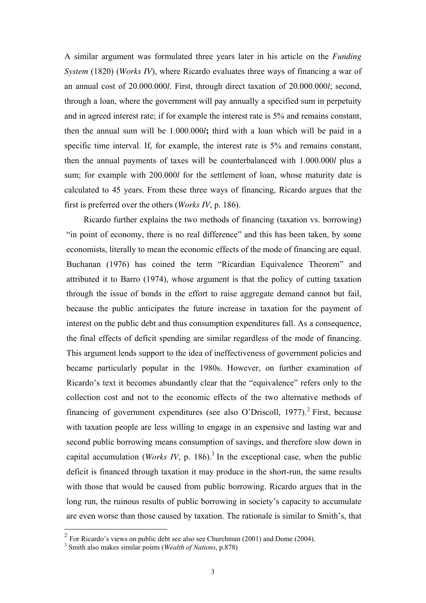A similar argument was formulated three years later in his article on the *Funding System* (1820) (*Works IV*), where Ricardo evaluates three ways of financing a war of an annual cost of 20.000.000*l*. First, through direct taxation of 20.000.000*l*; second, through a loan, where the government will pay annually a specified sum in perpetuity and in agreed interest rate; if for example the interest rate is 5% and remains constant, then the annual sum will be 1.000.000*l***;** third with a loan which will be paid in a specific time interval. If, for example, the interest rate is 5% and remains constant, then the annual payments of taxes will be counterbalanced with 1.000.000*l* plus a sum; for example with 200.000*l* for the settlement of loan, whose maturity date is calculated to 45 years. From these three ways of financing, Ricardo argues that the first is preferred over the others (*Works IV*, p. 186).

Ricardo further explains the two methods of financing (taxation vs. borrowing) "in point of economy, there is no real difference" and this has been taken, by some economists, literally to mean the economic effects of the mode of financing are equal. Buchanan (1976) has coined the term "Ricardian Equivalence Theorem" and attributed it to Barro (1974), whose argument is that the policy of cutting taxation through the issue of bonds in the effort to raise aggregate demand cannot but fail, because the public anticipates the future increase in taxation for the payment of interest on the public debt and thus consumption expenditures fall. As a consequence, the final effects of deficit spending are similar regardless of the mode of financing. This argument lends support to the idea of ineffectiveness of government policies and became particularly popular in the 1980s. However, on further examination of Ricardo's text it becomes abundantly clear that the "equivalence" refers only to the collection cost and not to the economic effects of the two alternative methods of financing of government expenditures (see also O'Driscoll, 1977).<sup>2</sup> First, because with taxation people are less willing to engage in an expensive and lasting war and second public borrowing means consumption of savings, and therefore slow down in capital accumulation (*Works IV*, p. 186).<sup>3</sup> In the exceptional case, when the public deficit is financed through taxation it may produce in the short-run, the same results with those that would be caused from public borrowing. Ricardo argues that in the long run, the ruinous results of public borrowing in society's capacity to accumulate are even worse than those caused by taxation. The rationale is similar to Smith's, that

<sup>&</sup>lt;sup>2</sup> For Ricardo's views on public debt see also see Churchman (2001) and Dome (2004).

<sup>3</sup> Smith also makes similar points (*Wealth of Nations*, p.878)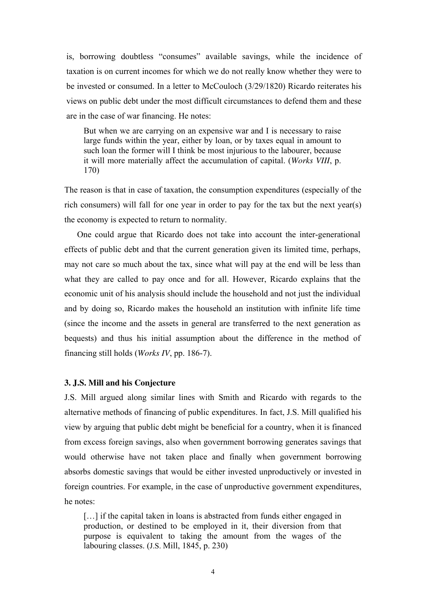is, borrowing doubtless "consumes" available savings, while the incidence of taxation is on current incomes for which we do not really know whether they were to be invested or consumed. In a letter to McCouloch (3/29/1820) Ricardo reiterates his views on public debt under the most difficult circumstances to defend them and these are in the case of war financing. He notes:

But when we are carrying on an expensive war and I is necessary to raise large funds within the year, either by loan, or by taxes equal in amount to such loan the former will I think be most injurious to the labourer, because it will more materially affect the accumulation of capital. (*Works VIII*, p. 170)

The reason is that in case of taxation, the consumption expenditures (especially of the rich consumers) will fall for one year in order to pay for the tax but the next year(s) the economy is expected to return to normality.

One could argue that Ricardo does not take into account the inter-generational effects of public debt and that the current generation given its limited time, perhaps, may not care so much about the tax, since what will pay at the end will be less than what they are called to pay once and for all. However, Ricardo explains that the economic unit of his analysis should include the household and not just the individual and by doing so, Ricardo makes the household an institution with infinite life time (since the income and the assets in general are transferred to the next generation as bequests) and thus his initial assumption about the difference in the method of financing still holds (*Works IV*, pp. 186-7).

# **3. J.S. Mill and his Conjecture**

J.S. Mill argued along similar lines with Smith and Ricardo with regards to the alternative methods of financing of public expenditures. In fact, J.S. Mill qualified his view by arguing that public debt might be beneficial for a country, when it is financed from excess foreign savings, also when government borrowing generates savings that would otherwise have not taken place and finally when government borrowing absorbs domestic savings that would be either invested unproductively or invested in foreign countries. For example, in the case of unproductive government expenditures, he notes:

[...] if the capital taken in loans is abstracted from funds either engaged in production, or destined to be employed in it, their diversion from that purpose is equivalent to taking the amount from the wages of the labouring classes. (J.S. Mill, 1845, p. 230)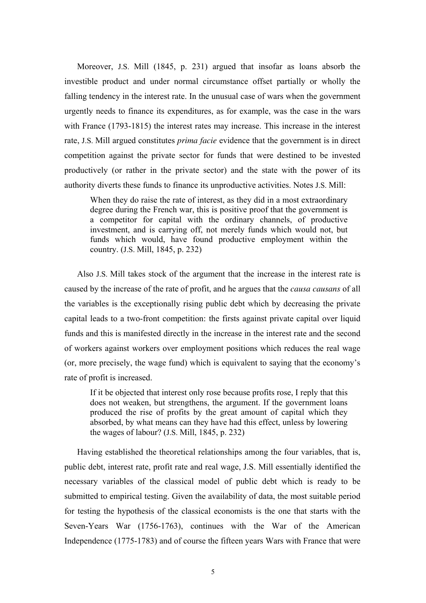Moreover, J.S. Mill (1845, p. 231) argued that insofar as loans absorb the investible product and under normal circumstance offset partially or wholly the falling tendency in the interest rate. In the unusual case of wars when the government urgently needs to finance its expenditures, as for example, was the case in the wars with France (1793-1815) the interest rates may increase. This increase in the interest rate, J.S. Mill argued constitutes *prima facie* evidence that the government is in direct competition against the private sector for funds that were destined to be invested productively (or rather in the private sector) and the state with the power of its authority diverts these funds to finance its unproductive activities. Notes J.S. Mill:

When they do raise the rate of interest, as they did in a most extraordinary degree during the French war, this is positive proof that the government is a competitor for capital with the ordinary channels, of productive investment, and is carrying off, not merely funds which would not, but funds which would, have found productive employment within the country. (J.S. Mill, 1845, p. 232)

Also J.S. Mill takes stock of the argument that the increase in the interest rate is caused by the increase of the rate of profit, and he argues that the *causa causans* of all the variables is the exceptionally rising public debt which by decreasing the private capital leads to a two-front competition: the firsts against private capital over liquid funds and this is manifested directly in the increase in the interest rate and the second of workers against workers over employment positions which reduces the real wage (or, more precisely, the wage fund) which is equivalent to saying that the economy's rate of profit is increased.

If it be objected that interest only rose because profits rose, I reply that this does not weaken, but strengthens, the argument. If the government loans produced the rise of profits by the great amount of capital which they absorbed, by what means can they have had this effect, unless by lowering the wages of labour? (J.S. Mill, 1845, p. 232)

Having established the theoretical relationships among the four variables, that is, public debt, interest rate, profit rate and real wage, J.S. Mill essentially identified the necessary variables of the classical model of public debt which is ready to be submitted to empirical testing. Given the availability of data, the most suitable period for testing the hypothesis of the classical economists is the one that starts with the Seven-Years War (1756-1763), continues with the War of the American Independence (1775-1783) and of course the fifteen years Wars with France that were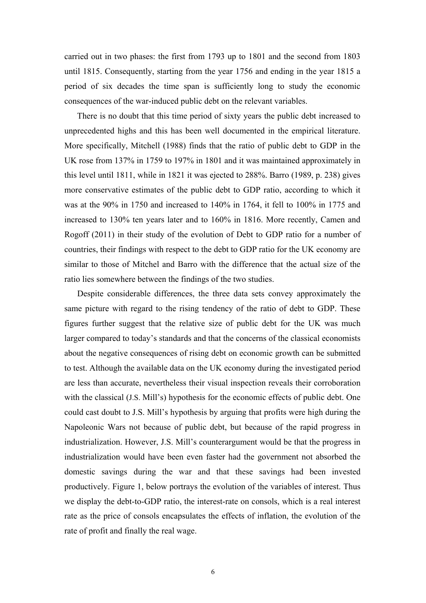carried out in two phases: the first from 1793 up to 1801 and the second from 1803 until 1815. Consequently, starting from the year 1756 and ending in the year 1815 a period of six decades the time span is sufficiently long to study the economic consequences of the war-induced public debt on the relevant variables.

There is no doubt that this time period of sixty years the public debt increased to unprecedented highs and this has been well documented in the empirical literature. More specifically, Mitchell (1988) finds that the ratio of public debt to GDP in the UK rose from 137% in 1759 to 197% in 1801 and it was maintained approximately in this level until 1811, while in 1821 it was ejected to 288%. Barro (1989, p. 238) gives more conservative estimates of the public debt to GDP ratio, according to which it was at the 90% in 1750 and increased to 140% in 1764, it fell to 100% in 1775 and increased to 130% ten years later and to 160% in 1816. More recently, Camen and Rogoff (2011) in their study of the evolution of Debt to GDP ratio for a number of countries, their findings with respect to the debt to GDP ratio for the UK economy are similar to those of Mitchel and Barro with the difference that the actual size of the ratio lies somewhere between the findings of the two studies.

Despite considerable differences, the three data sets convey approximately the same picture with regard to the rising tendency of the ratio of debt to GDP. These figures further suggest that the relative size of public debt for the UK was much larger compared to today's standards and that the concerns of the classical economists about the negative consequences of rising debt on economic growth can be submitted to test. Although the available data on the UK economy during the investigated period are less than accurate, nevertheless their visual inspection reveals their corroboration with the classical (J.S. Mill's) hypothesis for the economic effects of public debt. One could cast doubt to J.S. Mill's hypothesis by arguing that profits were high during the Napoleonic Wars not because of public debt, but because of the rapid progress in industrialization. However, J.S. Mill's counterargument would be that the progress in industrialization would have been even faster had the government not absorbed the domestic savings during the war and that these savings had been invested productively. Figure 1, below portrays the evolution of the variables of interest. Thus we display the debt-to-GDP ratio, the interest-rate on consols, which is a real interest rate as the price of consols encapsulates the effects of inflation, the evolution of the rate of profit and finally the real wage.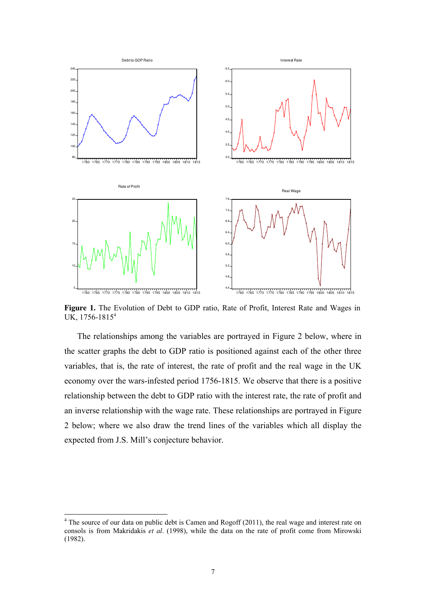

**Figure 1.** The Evolution of Debt to GDP ratio, Rate of Profit, Interest Rate and Wages in UK, 1756-1815<sup>4</sup> 

The relationships among the variables are portrayed in Figure 2 below, where in the scatter graphs the debt to GDP ratio is positioned against each of the other three variables, that is, the rate of interest, the rate of profit and the real wage in the UK economy over the wars-infested period 1756-1815. We observe that there is a positive relationship between the debt to GDP ratio with the interest rate, the rate of profit and an inverse relationship with the wage rate. These relationships are portrayed in Figure 2 below; where we also draw the trend lines of the variables which all display the expected from J.S. Mill's conjecture behavior.

-

 $4$  The source of our data on public debt is Camen and Rogoff (2011), the real wage and interest rate on consols is from Makridakis *et al*. (1998), while the data on the rate of profit come from Mirowski (1982).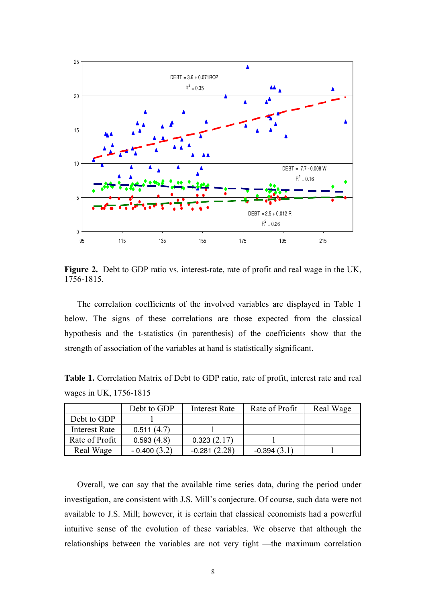

**Figure 2.** Debt to GDP ratio vs. interest-rate, rate of profit and real wage in the UK, 1756-1815.

The correlation coefficients of the involved variables are displayed in Table 1 below. The signs of these correlations are those expected from the classical hypothesis and the t-statistics (in parenthesis) of the coefficients show that the strength of association of the variables at hand is statistically significant.

**Table 1.** Correlation Matrix of Debt to GDP ratio, rate of profit, interest rate and real wages in UK, 1756-1815

|                      | Debt to GDP   | <b>Interest Rate</b> | Rate of Profit | Real Wage |
|----------------------|---------------|----------------------|----------------|-----------|
| Debt to GDP          |               |                      |                |           |
| <b>Interest Rate</b> | 0.511(4.7)    |                      |                |           |
| Rate of Profit       | 0.593(4.8)    | 0.323(2.17)          |                |           |
| Real Wage            | $-0.400(3.2)$ | $-0.281(2.28)$       | $-0.394(3.1)$  |           |

Overall, we can say that the available time series data, during the period under investigation, are consistent with J.S. Mill's conjecture. Of course, such data were not available to J.S. Mill; however, it is certain that classical economists had a powerful intuitive sense of the evolution of these variables. We observe that although the relationships between the variables are not very tight —the maximum correlation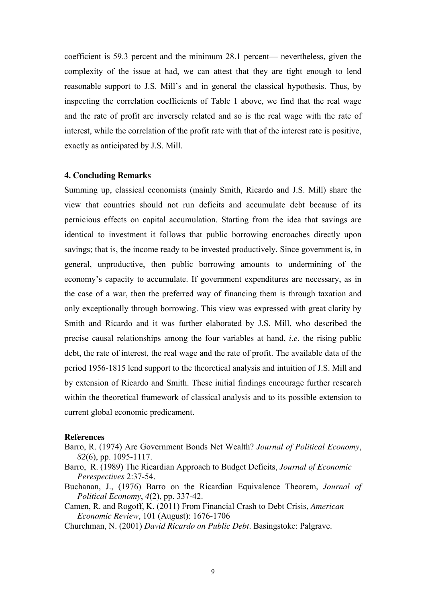coefficient is 59.3 percent and the minimum 28.1 percent— nevertheless, given the complexity of the issue at had, we can attest that they are tight enough to lend reasonable support to J.S. Mill's and in general the classical hypothesis. Thus, by inspecting the correlation coefficients of Table 1 above, we find that the real wage and the rate of profit are inversely related and so is the real wage with the rate of interest, while the correlation of the profit rate with that of the interest rate is positive, exactly as anticipated by J.S. Mill.

# **4. Concluding Remarks**

Summing up, classical economists (mainly Smith, Ricardo and J.S. Mill) share the view that countries should not run deficits and accumulate debt because of its pernicious effects on capital accumulation. Starting from the idea that savings are identical to investment it follows that public borrowing encroaches directly upon savings; that is, the income ready to be invested productively. Since government is, in general, unproductive, then public borrowing amounts to undermining of the economy's capacity to accumulate. If government expenditures are necessary, as in the case of a war, then the preferred way of financing them is through taxation and only exceptionally through borrowing. This view was expressed with great clarity by Smith and Ricardo and it was further elaborated by J.S. Mill, who described the precise causal relationships among the four variables at hand, *i*.*e*. the rising public debt, the rate of interest, the real wage and the rate of profit. The available data of the period 1956-1815 lend support to the theoretical analysis and intuition of J.S. Mill and by extension of Ricardo and Smith. These initial findings encourage further research within the theoretical framework of classical analysis and to its possible extension to current global economic predicament.

#### **References**

- Barro, R. (1974) Are Government Bonds Net Wealth? *Journal of Political Economy*, *82*(6), pp. 1095-1117.
- Barro, R. (1989) The Ricardian Approach to Budget Deficits, *Journal of Economic Perespectives* 2:37-54.
- Buchanan, J., (1976) Barro on the Ricardian Equivalence Theorem, *Journal of Political Economy*, *4*(2), pp. 337-42.
- Camen, R. and Rogoff, K. (2011) From Financial Crash to Debt Crisis, *American Economic Review*, 101 (August): 1676-1706
- Churchman, N. (2001) *David Ricardo on Public Debt*. Basingstoke: Palgrave.